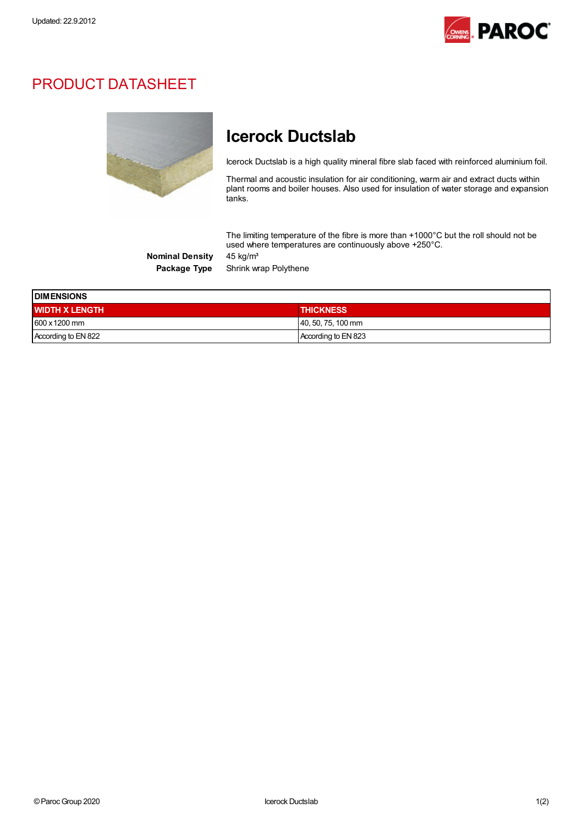

## PRODUCT DATASHEET



## Icerock Ductslab

Icerock Ductslab is a high quality mineral fibre slab faced with reinforced aluminium foil.

Thermal and acoustic insulation for air conditioning, warm air and extract ducts within plant rooms and boiler houses. Also used for insulation of water storage and expansion tanks.

The limiting temperature of the fibre is more than +1000°C but the roll should not be used where temperatures are continuously above +250°C.

Nominal Density 45 kg/m<sup>3</sup>

Package Type Shrink wrap Polythene

| <b>IDIMENSIONS</b>    |                       |  |
|-----------------------|-----------------------|--|
| <b>WIDTH X LENGTH</b> | <b>THICKNESS</b>      |  |
| $1600 \times 1200$ mm | $ 40, 50, 75, 100$ mm |  |
| According to EN 822   | According to EN 823   |  |